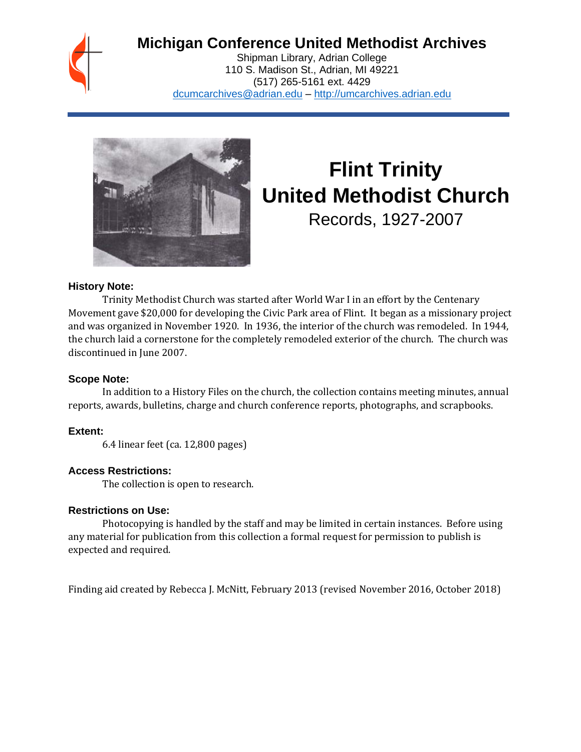## **Michigan Conference United Methodist Archives**

Shipman Library, Adrian College 110 S. Madison St., Adrian, MI 49221 (517) 265-5161 ext. 4429 [dcumcarchives@adrian.edu](mailto:dcumcarchives@adrian.edu) – [http://umcarchives.adrian.edu](http://umcarchives.adrian.edu/)



# **Flint Trinity United Methodist Church**

Records, 1927-2007

#### **History Note:**

Trinity Methodist Church was started after World War I in an effort by the Centenary Movement gave \$20,000 for developing the Civic Park area of Flint. It began as a missionary project and was organized in November 1920. In 1936, the interior of the church was remodeled. In 1944, the church laid a cornerstone for the completely remodeled exterior of the church. The church was discontinued in June 2007.

#### **Scope Note:**

In addition to a History Files on the church, the collection contains meeting minutes, annual reports, awards, bulletins, charge and church conference reports, photographs, and scrapbooks.

#### **Extent:**

6.4 linear feet (ca. 12,800 pages)

#### **Access Restrictions:**

The collection is open to research.

#### **Restrictions on Use:**

Photocopying is handled by the staff and may be limited in certain instances. Before using any material for publication from this collection a formal request for permission to publish is expected and required.

Finding aid created by Rebecca J. McNitt, February 2013 (revised November 2016, October 2018)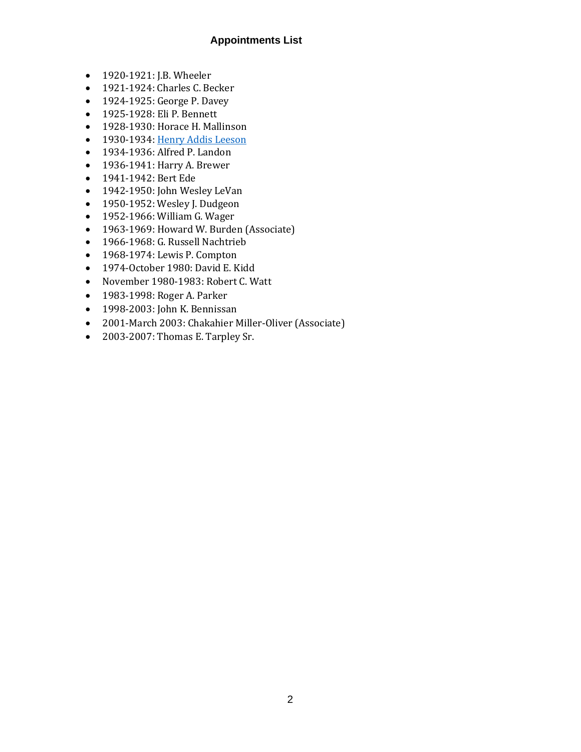#### **Appointments List**

- 1920-1921: J.B. Wheeler
- 1921-1924: Charles C. Becker
- 1924-1925: George P. Davey
- 1925-1928: Eli P. Bennett
- 1928-1930: Horace H. Mallinson
- 1930-1934[: Henry Addis Leeson](http://umcarchives.adrian.edu/clergy/leesonha.php)
- 1934-1936: Alfred P. Landon
- 1936-1941: Harry A. Brewer
- 1941-1942: Bert Ede
- 1942-1950: John Wesley LeVan
- 1950-1952: Wesley J. Dudgeon
- 1952-1966: William G. Wager
- 1963-1969: Howard W. Burden (Associate)
- 1966-1968: G. Russell Nachtrieb
- 1968-1974: Lewis P. Compton
- 1974-October 1980: David E. Kidd
- November 1980-1983: Robert C. Watt
- 1983-1998: Roger A. Parker
- 1998-2003: John K. Bennissan
- 2001-March 2003: Chakahier Miller-Oliver (Associate)
- 2003-2007: Thomas E. Tarpley Sr.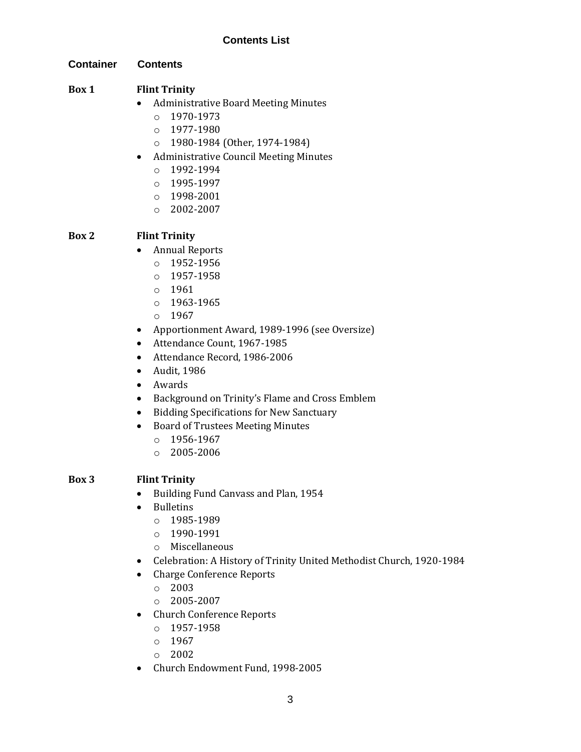**Container Contents**

#### **Box 1 Flint Trinity**

- Administrative Board Meeting Minutes
	- $O$  1970-1973
	- o 1977-1980
	- o 1980-1984 (Other, 1974-1984)
- Administrative Council Meeting Minutes
	- o 1992-1994
	- o 1995-1997
	- o 1998-2001
	- o 2002-2007

#### **Box 2 Flint Trinity**

- Annual Reports
	- o 1952-1956
	- o 1957-1958
	- $0.1961$
	- o 1963-1965
	- o 1967
- Apportionment Award, 1989-1996 (see Oversize)
- Attendance Count, 1967-1985
- Attendance Record, 1986-2006
- Audit, 1986
- Awards
- Background on Trinity's Flame and Cross Emblem
- Bidding Specifications for New Sanctuary
- Board of Trustees Meeting Minutes
	- o 1956-1967
	- $O = 2005 2006$

#### **Box 3 Flint Trinity**

- Building Fund Canvass and Plan, 1954
- Bulletins
	- o 1985-1989
	- o 1990-1991
	- o Miscellaneous
- Celebration: A History of Trinity United Methodist Church, 1920-1984
- Charge Conference Reports
	- o 2003
	- o 2005-2007
- Church Conference Reports
	- o 1957-1958
	- o 1967
	- o 2002
- Church Endowment Fund, 1998-2005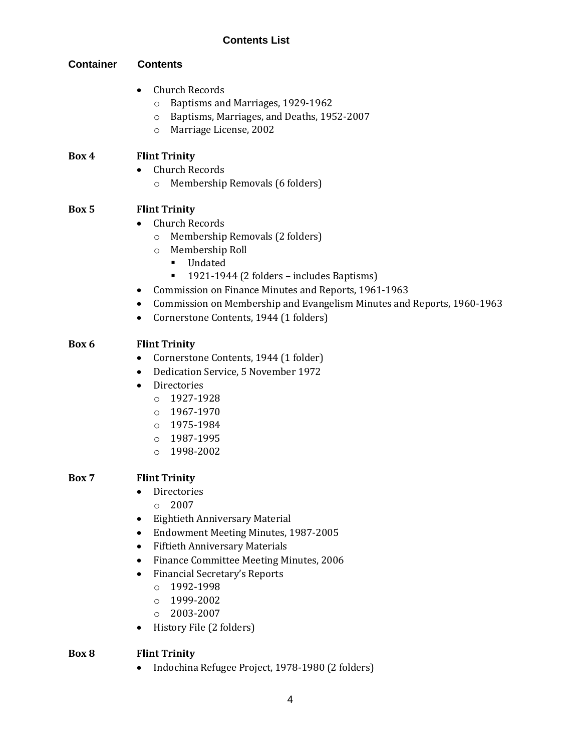#### **Contents List**

### **Container Contents**

- Church Records
	- o Baptisms and Marriages, 1929-1962
	- o Baptisms, Marriages, and Deaths, 1952-2007
	- o Marriage License, 2002

#### **Box 4 Flint Trinity**

- Church Records
	- o Membership Removals (6 folders)

#### **Box 5 Flint Trinity**

- Church Records
	- o Membership Removals (2 folders)
	- o Membership Roll
		- Undated
		- 1921-1944 (2 folders includes Baptisms)
- Commission on Finance Minutes and Reports, 1961-1963
- Commission on Membership and Evangelism Minutes and Reports, 1960-1963
- Cornerstone Contents, 1944 (1 folders)

#### **Box 6 Flint Trinity**

- Cornerstone Contents, 1944 (1 folder)
- Dedication Service, 5 November 1972
- Directories
	- $O$  1927-1928
	- o 1967-1970
	- o 1975-1984
	- o 1987-1995
	- o 1998-2002

#### **Box 7 Flint Trinity**

- Directories
	- $\circ$  2007
- Eightieth Anniversary Material
- Endowment Meeting Minutes, 1987-2005
- Fiftieth Anniversary Materials
- Finance Committee Meeting Minutes, 2006
- Financial Secretary's Reports
	- o 1992-1998
	- o 1999-2002
	- o 2003-2007
- History File (2 folders)

#### **Box 8 Flint Trinity**

• Indochina Refugee Project, 1978-1980 (2 folders)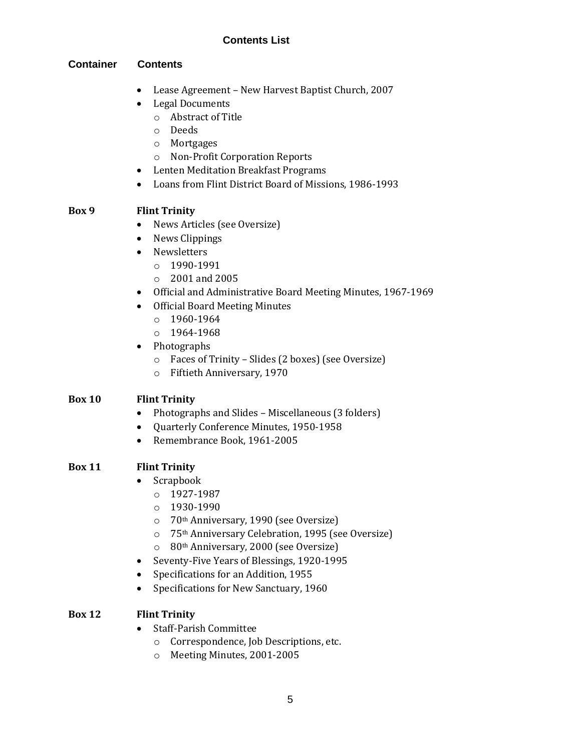#### **Contents List**

#### **Container Contents**

- Lease Agreement New Harvest Baptist Church, 2007
- Legal Documents
	- o Abstract of Title
	- o Deeds
	- o Mortgages
	- o Non-Profit Corporation Reports
- Lenten Meditation Breakfast Programs
- Loans from Flint District Board of Missions, 1986-1993

#### **Box 9 Flint Trinity**

- News Articles (see Oversize)
- News Clippings
- Newsletters
	- o 1990-1991
	- o 2001 and 2005
- Official and Administrative Board Meeting Minutes, 1967-1969
- Official Board Meeting Minutes
	- o 1960-1964
	- o 1964-1968
- Photographs
	- o Faces of Trinity Slides (2 boxes) (see Oversize)
	- o Fiftieth Anniversary, 1970

#### **Box 10 Flint Trinity**

- Photographs and Slides Miscellaneous (3 folders)
- Quarterly Conference Minutes, 1950-1958
- Remembrance Book, 1961-2005

#### **Box 11 Flint Trinity**

- Scrapbook
	- o 1927-1987
	- o 1930-1990
	- o 70th Anniversary, 1990 (see Oversize)
	- o 75th Anniversary Celebration, 1995 (see Oversize)
	- o 80th Anniversary, 2000 (see Oversize)
- Seventy-Five Years of Blessings, 1920-1995
- Specifications for an Addition, 1955
- Specifications for New Sanctuary, 1960

#### **Box 12 Flint Trinity**

- Staff-Parish Committee
	- o Correspondence, Job Descriptions, etc.
	- o Meeting Minutes, 2001-2005